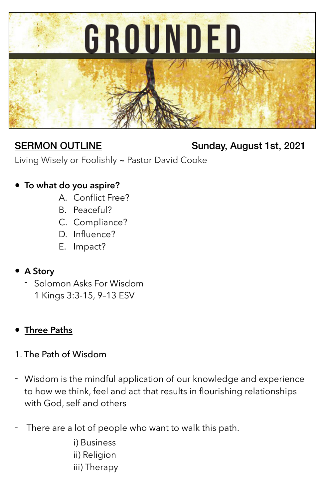

SERMON OUTLINE Sunday, August 1st, 2021

Living Wisely or Foolishly ~ Pastor David Cooke

# **• To what do you aspire?**

- A. Conflict Free?
- B. Peaceful?
- C. Compliance?
- D. Influence?
- E. Impact?

### **• A Story**

- Solomon Asks For Wisdom 1 Kings 3:3-15, 9–13 ESV

# **• Three Paths**

### 1. The Path of Wisdom

- Wisdom is the mindful application of our knowledge and experience to how we think, feel and act that results in flourishing relationships with God, self and others
- There are a lot of people who want to walk this path.

i) Business ii) Religion iii) Therapy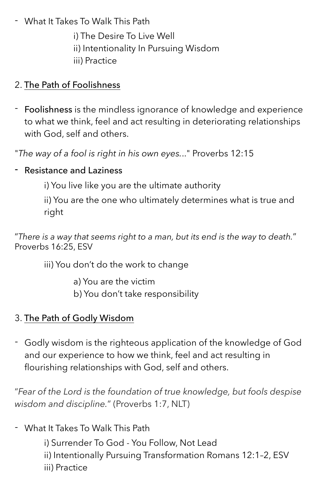- What It Takes To Walk This Path
	- i) The Desire To Live Well
	- ii) Intentionality In Pursuing Wisdom
	- iii) Practice

## 2. The Path of Foolishness

- Foolishness is the mindless ignorance of knowledge and experience to what we think, feel and act resulting in deteriorating relationships with God, self and others.

"*The way of a fool is right in his own eyes.*.." Proverbs 12:15

### - Resistance and Laziness

i) You live like you are the ultimate authority

ii) You are the one who ultimately determines what is true and right

"*There is a way that seems right to a man, but its end is the way to death.*" Proverbs 16:25, ESV

iii) You don't do the work to change

- a) You are the victim
- b) You don't take responsibility

# 3. The Path of Godly Wisdom

- Godly wisdom is the righteous application of the knowledge of God and our experience to how we think, feel and act resulting in flourishing relationships with God, self and others.

"*Fear of the Lord is the foundation of true knowledge, but fools despise wisdom and discipline.*" (Proverbs 1:7, NLT)

- What It Takes To Walk This Path
	- i) Surrender To God You Follow, Not Lead
	- ii) Intentionally Pursuing Transformation Romans 12:1–2, ESV
	- iii) Practice